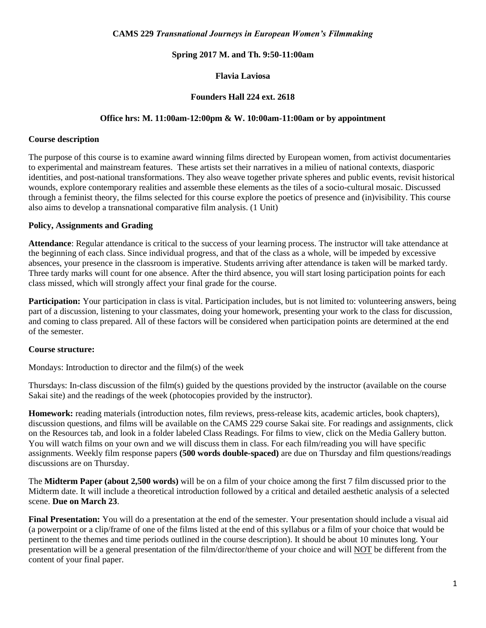#### **CAMS 229** *Transnational Journeys in European Women's Filmmaking*

### **Spring 2017 M. and Th. 9:50-11:00am**

### **Flavia Laviosa**

### **Founders Hall 224 ext. 2618**

#### **Office hrs: M. 11:00am-12:00pm & W. 10:00am-11:00am or by appointment**

#### **Course description**

The purpose of this course is to examine award winning films directed by European women, from activist documentaries to experimental and mainstream features. These artists set their narratives in a milieu of national contexts, diasporic identities, and post-national transformations. They also weave together private spheres and public events, revisit historical wounds, explore contemporary realities and assemble these elements as the tiles of a socio-cultural mosaic. Discussed through a feminist theory, the films selected for this course explore the poetics of presence and (in)visibility. This course also aims to develop a transnational comparative film analysis. (1 Unit)

#### **Policy, Assignments and Grading**

**Attendance**: Regular attendance is critical to the success of your learning process. The instructor will take attendance at the beginning of each class. Since individual progress, and that of the class as a whole, will be impeded by excessive absences, your presence in the classroom is imperative. Students arriving after attendance is taken will be marked tardy. Three tardy marks will count for one absence. After the third absence, you will start losing participation points for each class missed, which will strongly affect your final grade for the course.

**Participation:** Your participation in class is vital. Participation includes, but is not limited to: volunteering answers, being part of a discussion, listening to your classmates, doing your homework, presenting your work to the class for discussion, and coming to class prepared. All of these factors will be considered when participation points are determined at the end of the semester.

#### **Course structure:**

Mondays: Introduction to director and the film(s) of the week

Thursdays: In-class discussion of the film(s) guided by the questions provided by the instructor (available on the course Sakai site) and the readings of the week (photocopies provided by the instructor).

**Homework:** reading materials (introduction notes, film reviews, press-release kits, academic articles, book chapters), discussion questions, and films will be available on the CAMS 229 course Sakai site. For readings and assignments, click on the Resources tab, and look in a folder labeled Class Readings. For films to view, click on the Media Gallery button. You will watch films on your own and we will discuss them in class. For each film/reading you will have specific assignments. Weekly film response papers **(500 words double-spaced)** are due on Thursday and film questions/readings discussions are on Thursday.

The **Midterm Paper (about 2,500 words)** will be on a film of your choice among the first 7 film discussed prior to the Midterm date. It will include a theoretical introduction followed by a critical and detailed aesthetic analysis of a selected scene. **Due on March 23**.

**Final Presentation:** You will do a presentation at the end of the semester. Your presentation should include a visual aid (a powerpoint or a clip/frame of one of the films listed at the end of this syllabus or a film of your choice that would be pertinent to the themes and time periods outlined in the course description). It should be about 10 minutes long. Your presentation will be a general presentation of the film/director/theme of your choice and will NOT be different from the content of your final paper.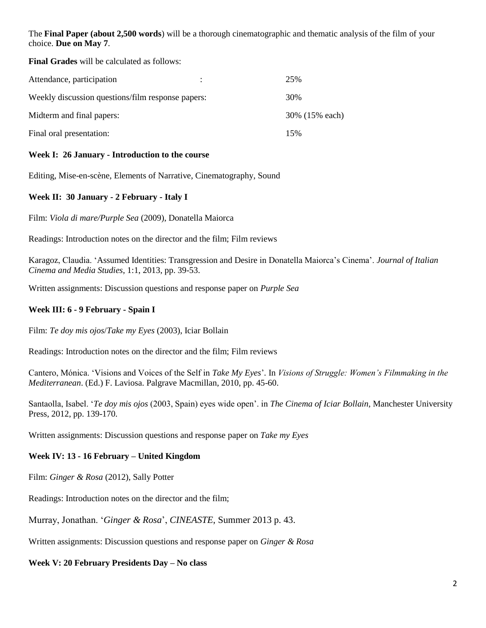The **Final Paper (about 2,500 words**) will be a thorough cinematographic and thematic analysis of the film of your choice. **Due on May 7**.

**Final Grades** will be calculated as follows:

| Attendance, participation                         | 25%            |
|---------------------------------------------------|----------------|
| Weekly discussion questions/film response papers: | 30%            |
| Midterm and final papers:                         | 30% (15% each) |
| Final oral presentation:                          | 15%            |

# **Week I: 26 January - Introduction to the course**

Editing, Mise-en-scène, Elements of Narrative, Cinematography, Sound

## **Week II: 30 January - 2 February - Italy I**

Film: *Viola di mare/Purple Sea* (2009), Donatella Maiorca

Readings: Introduction notes on the director and the film; Film reviews

Karagoz, Claudia. 'Assumed Identities: Transgression and Desire in Donatella Maiorca's Cinema'. *Journal of Italian Cinema and Media Studies*, 1:1, 2013, pp. 39-53.

Written assignments: Discussion questions and response paper on *Purple Sea*

### **Week III: 6 - 9 February - Spain I**

Film: *Te doy mis ojos*/*Take my Eyes* (2003), Iciar Bollain

Readings: Introduction notes on the director and the film; Film reviews

Cantero, Mónica. 'Visions and Voices of the Self in *Take My Eyes*'*.* In *Visions of Struggle: Women's Filmmaking in the Mediterranean*. (Ed.) F. Laviosa. Palgrave Macmillan, 2010, pp. 45-60.

Santaolla, Isabel. '*Te doy mis ojos* (2003, Spain) eyes wide open'. in *The Cinema of Iciar Bollain*, Manchester University Press, 2012, pp. 139-170.

Written assignments: Discussion questions and response paper on *Take my Eyes*

### **Week IV: 13 - 16 February – United Kingdom**

Film: *Ginger & Rosa* (2012), Sally Potter

Readings: Introduction notes on the director and the film;

Murray, Jonathan. '*Ginger & Rosa*', *CINEASTE*, Summer 2013 p. 43.

Written assignments: Discussion questions and response paper on *Ginger & Rosa*

**Week V: 20 February Presidents Day – No class**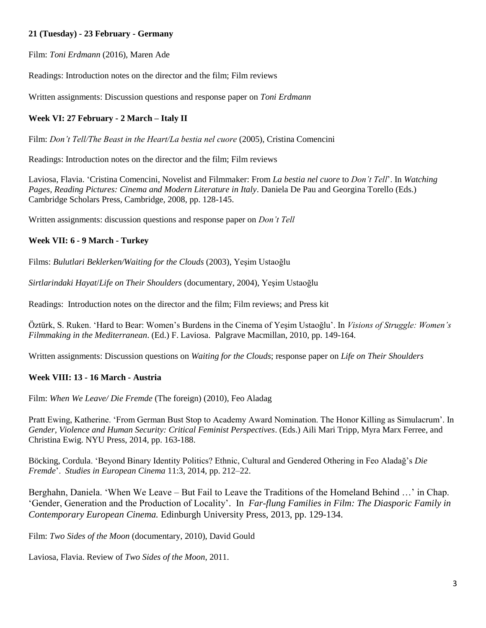# **21 (Tuesday) - 23 February - Germany**

Film: *Toni Erdmann* (2016), Maren Ade

Readings: Introduction notes on the director and the film; Film reviews

Written assignments: Discussion questions and response paper on *Toni Erdmann*

## **Week VI: 27 February - 2 March – Italy II**

Film: *Don't Tell/The Beast in the Heart/La bestia nel cuore* (2005), Cristina Comencini

Readings: Introduction notes on the director and the film; Film reviews

Laviosa, Flavia. 'Cristina Comencini, Novelist and Filmmaker: From *La bestia nel cuore* to *Don't Tell*'. In *Watching Pages, Reading Pictures: Cinema and Modern Literature in Italy*. Daniela De Pau and Georgina Torello (Eds.) Cambridge Scholars Press, Cambridge, 2008, pp. 128-145.

Written assignments: discussion questions and response paper on *Don't Tell*

#### **Week VII: 6 - 9 March - Turkey**

Films: *Bulutlari Beklerken/Waiting for the Clouds* (2003), Yeşim Ustaoğlu

*Sirtlarindaki Hayat*/*Life on Their Shoulders* (documentary, 2004), Yeşim Ustaoğlu

Readings: Introduction notes on the director and the film; Film reviews; and Press kit

Öztürk, S. Ruken. 'Hard to Bear: Women's Burdens in the Cinema of Yeşim Ustaoğlu'. In *Visions of Struggle: Women's Filmmaking in the Mediterranean*. (Ed.) F. Laviosa. Palgrave Macmillan, 2010, pp. 149-164.

Written assignments: Discussion questions on *Waiting for the Clouds*; response paper on *Life on Their Shoulders*

### **Week VIII: 13 - 16 March - Austria**

Film: *When We Leave/ Die Fremde* (The foreign) (2010), Feo Aladag

Pratt Ewing, Katherine. 'From German Bust Stop to Academy Award Nomination. The Honor Killing as Simulacrum'. In *Gender, Violence and Human Security: Critical Feminist Perspectives*. (Eds.) Aili Mari Tripp, Myra Marx Ferree, and Christina Ewig. NYU Press, 2014, pp. 163-188.

Böcking, Cordula. 'Beyond Binary Identity Politics? Ethnic, Cultural and Gendered Othering in Feo Aladağ's *Die Fremde*'. *Studies in European Cinema* 11:3, 2014, pp. 212–22.

Berghahn, Daniela. 'When We Leave – But Fail to Leave the Traditions of the Homeland Behind …' in Chap. 'Gender, Generation and the Production of Locality'. In *Far-flung Families in Film: The Diasporic Family in Contemporary European Cinema.* Edinburgh University Press, 2013, pp. 129-134.

Film: *Two Sides of the Moon* (documentary, 2010), David Gould

Laviosa, Flavia. Review of *Two Sides of the Moon*, 2011.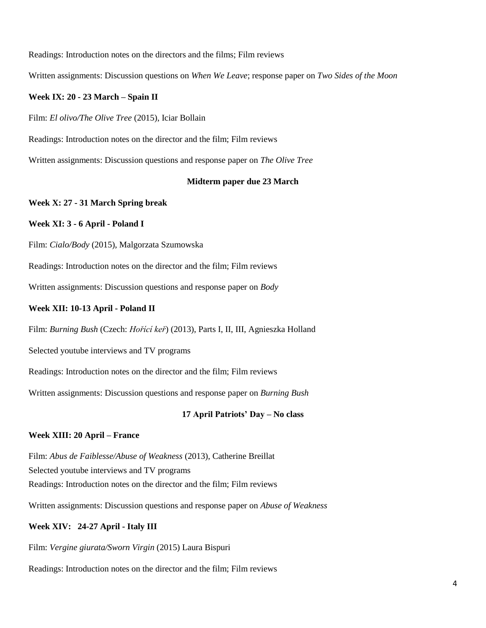Readings: Introduction notes on the directors and the films; Film reviews

Written assignments: Discussion questions on *When We Leave*; response paper on *Two Sides of the Moon*

### **Week IX: 20 - 23 March – Spain II**

Film: *El olivo/The Olive Tree* (2015), Iciar Bollain

Readings: Introduction notes on the director and the film; Film reviews

Written assignments: Discussion questions and response paper on *The Olive Tree*

### **Midterm paper due 23 March**

#### **Week X: 27 - 31 March Spring break**

#### **Week XI: 3 - 6 April - Poland I**

Film: *Cialo/Body* (2015), Malgorzata Szumowska

Readings: Introduction notes on the director and the film; Film reviews

Written assignments: Discussion questions and response paper on *Body*

#### **Week XII: 10-13 April - Poland II**

Film: *Burning Bush* [\(Czech:](http://en.wikipedia.org/wiki/Czech_language) *Hořící keř*) (2013), Parts I, II, III, Agnieszka Holland

Selected youtube interviews and TV programs

Readings: Introduction notes on the director and the film; Film reviews

Written assignments: Discussion questions and response paper on *Burning Bush*

#### **17 April Patriots' Day – No class**

### **Week XIII: 20 April – France**

Film: *Abus de Faiblesse/Abuse of Weakness* (2013), Catherine Breillat Selected youtube interviews and TV programs Readings: Introduction notes on the director and the film; Film reviews

Written assignments: Discussion questions and response paper on *Abuse of Weakness*

### **Week XIV: 24-27 April - Italy III**

Film: *Vergine giurata/Sworn Virgin* (2015) Laura Bispuri

Readings: Introduction notes on the director and the film; Film reviews